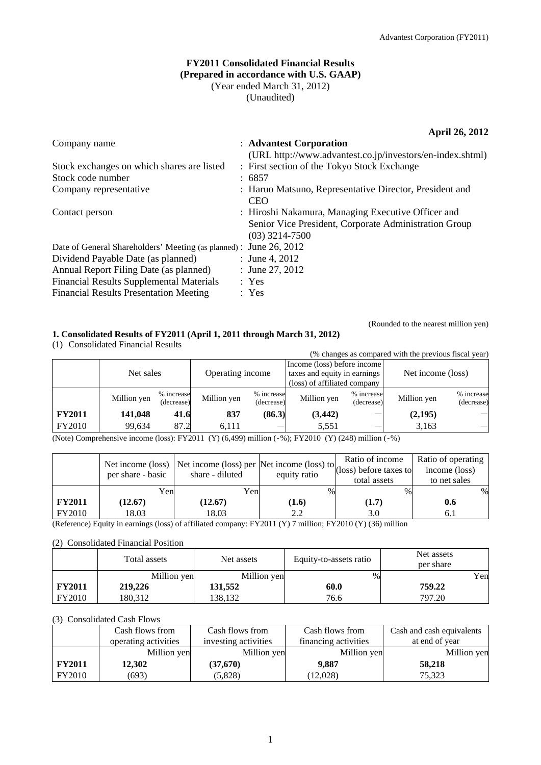## **FY2011 Consolidated Financial Results (Prepared in accordance with U.S. GAAP)**  (Year ended March 31, 2012) (Unaudited)

**April 26, 2012** 

| Company name                                                       | : Advantest Corporation                                   |
|--------------------------------------------------------------------|-----------------------------------------------------------|
|                                                                    | (URL http://www.advantest.co.jp/investors/en-index.shtml) |
| Stock exchanges on which shares are listed                         | : First section of the Tokyo Stock Exchange               |
| Stock code number                                                  | : 6857                                                    |
| Company representative                                             | : Haruo Matsuno, Representative Director, President and   |
|                                                                    | <b>CEO</b>                                                |
| Contact person                                                     | : Hiroshi Nakamura, Managing Executive Officer and        |
|                                                                    | Senior Vice President, Corporate Administration Group     |
|                                                                    | $(03)$ 3214-7500                                          |
| Date of General Shareholders' Meeting (as planned) : June 26, 2012 |                                                           |
| Dividend Payable Date (as planned)                                 | : June 4, 2012                                            |
| Annual Report Filing Date (as planned)                             | : June 27, 2012                                           |
| <b>Financial Results Supplemental Materials</b>                    | : Yes                                                     |
| <b>Financial Results Presentation Meeting</b>                      | : Yes                                                     |
|                                                                    |                                                           |

## **1. Consolidated Results of FY2011 (April 1, 2011 through March 31, 2012)**

(1) Consolidated Financial Results

(Rounded to the nearest million yen)

(% changes as compared with the previous fiscal year)

|               | Net sales   |                          | Operating income |                          | Income (loss) before income<br>taxes and equity in earnings<br>(loss) of affiliated company |                          | Net income (loss) |                          |
|---------------|-------------|--------------------------|------------------|--------------------------|---------------------------------------------------------------------------------------------|--------------------------|-------------------|--------------------------|
|               | Million yen | % increase<br>(decrease) | Million yen      | % increase<br>(decrease) | Million yen                                                                                 | % increase<br>(decrease) | Million yen       | % increase<br>(decrease) |
| <b>FY2011</b> | 141,048     | 41.6                     | 837              | (86.3)                   | (3, 442)                                                                                    |                          | (2,195)           |                          |
| FY2010        | 99.634      | 87.2                     | 6.111            |                          | 5,551                                                                                       |                          | 3,163             |                          |

(Note) Comprehensive income (loss): FY2011 (Y) (6,499) million (‐%); FY2010 (Y) (248) million (‐%)

|               | per share - basic | Net income (loss) Net income (loss) per $\left \text{Net income (loss) to}\right $ (loss) before taxes to<br>share - diluted | equity ratio | total assets | Ratio of operating<br>income (loss)<br>to net sales |
|---------------|-------------------|------------------------------------------------------------------------------------------------------------------------------|--------------|--------------|-----------------------------------------------------|
|               | Yenl              | Yen                                                                                                                          | $\%$         | $\%$         | %                                                   |
| <b>FY2011</b> | (12.67)           | (12.67)                                                                                                                      | (1.6)        | (1.7)        | 0.6                                                 |
| FY2010        | 18.03             | 18.03                                                                                                                        | 2.2          | 3.0          | 6.1                                                 |

(Reference) Equity in earnings (loss) of affiliated company: FY2011 (Y) 7 million; FY2010 (Y) (36) million

#### (2) Consolidated Financial Position

|               | Total assets | Net assets  | Equity-to-assets ratio | Net assets<br>per share |
|---------------|--------------|-------------|------------------------|-------------------------|
|               | Million yen  | Million yen | $\%$                   | Yen                     |
| <b>FY2011</b> | 219,226      | 131,552     | 60.0                   | 759.22                  |
| FY2010        | 180.312      | 38.132      | 76.6                   | 797.20                  |

#### (3) Consolidated Cash Flows

|               | Cash flows from      | Cash flows from      | Cash flows from      | Cash and cash equivalents |
|---------------|----------------------|----------------------|----------------------|---------------------------|
|               | operating activities | investing activities | financing activities | at end of year            |
|               | Million yen          | Million yen          | Million yen          | Million yen               |
| <b>FY2011</b> | 12.302               | (37,670)             | 9.887                | 58.218                    |
| FY2010        | (693)                | (5,828)              | 12,028               | 75.323                    |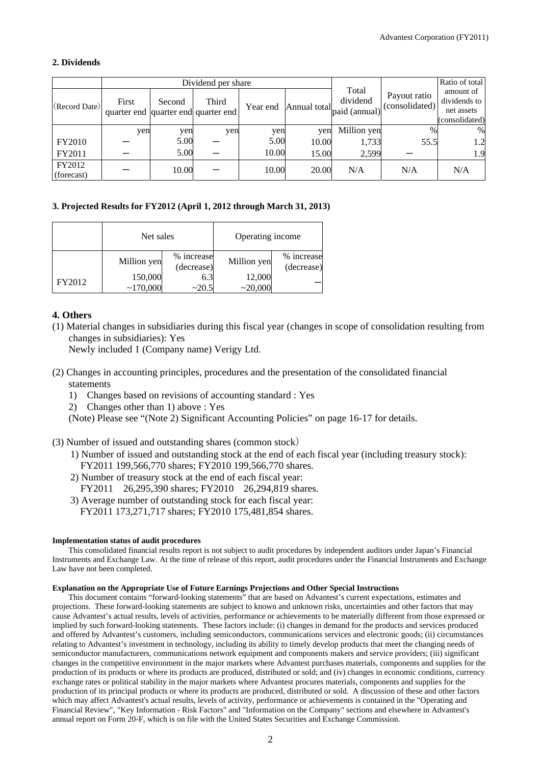## **2. Dividends**

|                      | Dividend per share                           |        |       |          |              |                                    |                                | Ratio of total                                            |
|----------------------|----------------------------------------------|--------|-------|----------|--------------|------------------------------------|--------------------------------|-----------------------------------------------------------|
| (Record Date)        | First<br>quarter end quarter end quarter end | Second | Third | Year end | Annual total | Total<br>dividend<br>paid (annual) | Payout ratio<br>(consolidated) | amount of<br>dividends to<br>net assets<br>(consolidated) |
|                      | yen                                          | yen    | yen   | yen      | yen          | Million yen                        | $\frac{0}{0}$                  | %                                                         |
| <b>FY2010</b>        |                                              | 5.00   |       | 5.00     | 10.00        | 1,733                              | 55.5                           | 1.2                                                       |
| FY2011               |                                              | 5.00   |       | 10.00    | 15.00        | 2,599                              |                                | 1.9                                                       |
| FY2012<br>(forecast) |                                              | 10.00  |       | 10.00    | 20.00        | N/A                                | N/A                            | N/A                                                       |

### **3. Projected Results for FY2012 (April 1, 2012 through March 31, 2013)**

|        | Net sales           |                          | Operating income  |                          |  |
|--------|---------------------|--------------------------|-------------------|--------------------------|--|
|        | Million yen         | % increase<br>(decrease) | Million yen       | % increase<br>(decrease) |  |
| FY2012 | 150,000<br>~170,000 | 6.3<br>~20.5             | 12,000<br>~20,000 |                          |  |

## **4. Others**

(1) Material changes in subsidiaries during this fiscal year (changes in scope of consolidation resulting from changes in subsidiaries): Yes

Newly included 1 (Company name) Verigy Ltd.

- (2) Changes in accounting principles, procedures and the presentation of the consolidated financial statements
	- 1) Changes based on revisions of accounting standard : Yes
	- 2) Changes other than 1) above : Yes

(Note) Please see "(Note 2) Significant Accounting Policies" on page 16-17 for details.

- (3) Number of issued and outstanding shares (common stock)
	- 1) Number of issued and outstanding stock at the end of each fiscal year (including treasury stock): FY2011 199,566,770 shares; FY2010 199,566,770 shares.
	- 2) Number of treasury stock at the end of each fiscal year: FY2011 26,295,390 shares; FY2010 26,294,819 shares.
	- 3) Average number of outstanding stock for each fiscal year:
	- FY2011 173,271,717 shares; FY2010 175,481,854 shares.

#### **Implementation status of audit procedures**

This consolidated financial results report is not subject to audit procedures by independent auditors under Japan's Financial Instruments and Exchange Law. At the time of release of this report, audit procedures under the Financial Instruments and Exchange Law have not been completed.

#### **Explanation on the Appropriate Use of Future Earnings Projections and Other Special Instructions**

This document contains "forward-looking statements" that are based on Advantest's current expectations, estimates and projections. These forward-looking statements are subject to known and unknown risks, uncertainties and other factors that may cause Advantest's actual results, levels of activities, performance or achievements to be materially different from those expressed or implied by such forward-looking statements. These factors include: (i) changes in demand for the products and services produced and offered by Advantest's customers, including semiconductors, communications services and electronic goods; (ii) circumstances relating to Advantest's investment in technology, including its ability to timely develop products that meet the changing needs of semiconductor manufacturers, communications network equipment and components makers and service providers; (iii) significant changes in the competitive environment in the major markets where Advantest purchases materials, components and supplies for the production of its products or where its products are produced, distributed or sold; and (iv) changes in economic conditions, currency exchange rates or political stability in the major markets where Advantest procures materials, components and supplies for the production of its principal products or where its products are produced, distributed or sold. A discussion of these and other factors which may affect Advantest's actual results, levels of activity, performance or achievements is contained in the "Operating and Financial Review", "Key Information - Risk Factors" and "Information on the Company" sections and elsewhere in Advantest's annual report on Form 20-F, which is on file with the United States Securities and Exchange Commission.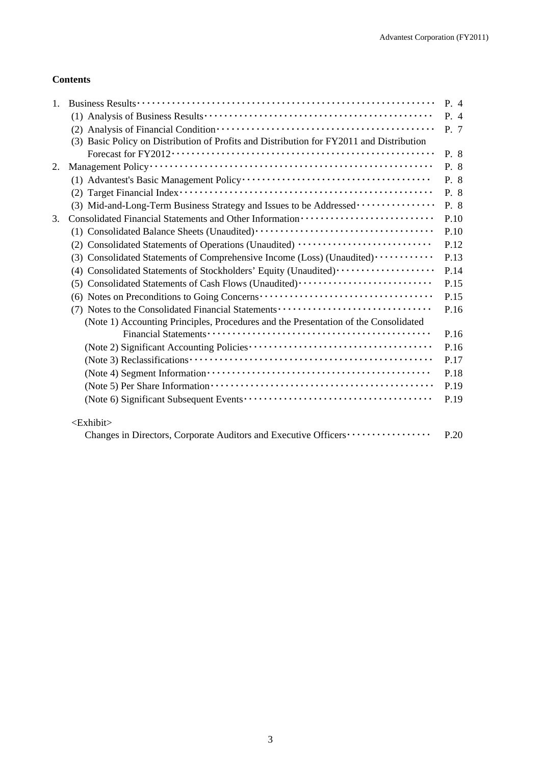## **Contents**

| 1. |                                                                                          | P.4  |
|----|------------------------------------------------------------------------------------------|------|
|    |                                                                                          | P. 4 |
|    |                                                                                          | P. 7 |
|    | (3) Basic Policy on Distribution of Profits and Distribution for FY2011 and Distribution |      |
|    |                                                                                          | P. 8 |
| 2. |                                                                                          | P. 8 |
|    |                                                                                          | P. 8 |
|    |                                                                                          | P. 8 |
|    | (3) Mid-and-Long-Term Business Strategy and Issues to be Addressed                       | P. 8 |
| 3. |                                                                                          | P.10 |
|    |                                                                                          | P.10 |
|    | (2) Consolidated Statements of Operations (Unaudited)                                    | P.12 |
|    | (3) Consolidated Statements of Comprehensive Income (Loss) (Unaudited) ···········       | P.13 |
|    | (4) Consolidated Statements of Stockholders' Equity (Unaudited)                          | P.14 |
|    | (5) Consolidated Statements of Cash Flows (Unaudited)                                    | P.15 |
|    |                                                                                          | P.15 |
|    | (7) Notes to the Consolidated Financial Statements                                       | P.16 |
|    | (Note 1) Accounting Principles, Procedures and the Presentation of the Consolidated      |      |
|    |                                                                                          | P.16 |
|    |                                                                                          | P.16 |
|    |                                                                                          | P.17 |
|    |                                                                                          | P.18 |
|    |                                                                                          | P.19 |
|    |                                                                                          | P.19 |
|    | <exhibit></exhibit>                                                                      |      |
|    |                                                                                          | P.20 |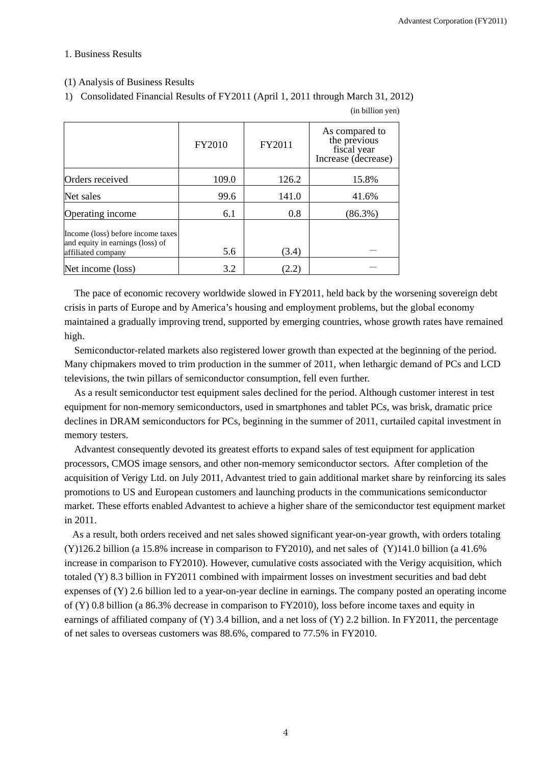(in billion yen)

### 1. Business Results

## (1) Analysis of Business Results

1) Consolidated Financial Results of FY2011 (April 1, 2011 through March 31, 2012)

|                                                                                             | FY2010 | FY2011 | As compared to<br>the previous<br>fiscal year<br>Increase (decrease) |
|---------------------------------------------------------------------------------------------|--------|--------|----------------------------------------------------------------------|
| Orders received                                                                             | 109.0  | 126.2  | 15.8%                                                                |
| Net sales                                                                                   | 99.6   | 141.0  | 41.6%                                                                |
| Operating income                                                                            | 6.1    | 0.8    | $(86.3\%)$                                                           |
| Income (loss) before income taxes<br>and equity in earnings (loss) of<br>affiliated company | 5.6    | (3.4)  |                                                                      |
| Net income (loss)                                                                           | 3.2    | (2.2)  |                                                                      |

The pace of economic recovery worldwide slowed in FY2011, held back by the worsening sovereign debt crisis in parts of Europe and by America's housing and employment problems, but the global economy maintained a gradually improving trend, supported by emerging countries, whose growth rates have remained high.

Semiconductor-related markets also registered lower growth than expected at the beginning of the period. Many chipmakers moved to trim production in the summer of 2011, when lethargic demand of PCs and LCD televisions, the twin pillars of semiconductor consumption, fell even further.

As a result semiconductor test equipment sales declined for the period. Although customer interest in test equipment for non-memory semiconductors, used in smartphones and tablet PCs, was brisk, dramatic price declines in DRAM semiconductors for PCs, beginning in the summer of 2011, curtailed capital investment in memory testers.

Advantest consequently devoted its greatest efforts to expand sales of test equipment for application processors, CMOS image sensors, and other non-memory semiconductor sectors. After completion of the acquisition of Verigy Ltd. on July 2011, Advantest tried to gain additional market share by reinforcing its sales promotions to US and European customers and launching products in the communications semiconductor market. These efforts enabled Advantest to achieve a higher share of the semiconductor test equipment market in 2011.

As a result, both orders received and net sales showed significant year-on-year growth, with orders totaling  $(Y)$ 126.2 billion (a 15.8% increase in comparison to FY2010), and net sales of  $(Y)$ 141.0 billion (a 41.6%) increase in comparison to FY2010). However, cumulative costs associated with the Verigy acquisition, which totaled (Y) 8.3 billion in FY2011 combined with impairment losses on investment securities and bad debt expenses of (Y) 2.6 billion led to a year-on-year decline in earnings. The company posted an operating income of (Y) 0.8 billion (a 86.3% decrease in comparison to FY2010), loss before income taxes and equity in earnings of affiliated company of  $(Y)$  3.4 billion, and a net loss of  $(Y)$  2.2 billion. In FY2011, the percentage of net sales to overseas customers was 88.6%, compared to 77.5% in FY2010.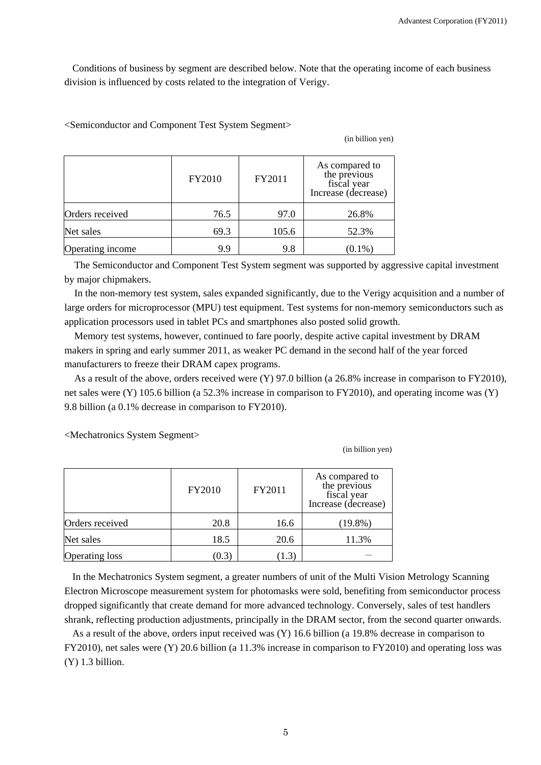Conditions of business by segment are described below. Note that the operating income of each business division is influenced by costs related to the integration of Verigy.

<Semiconductor and Component Test System Segment>

(in billion yen)

|                  | FY2010 | FY2011 | As compared to<br>the previous<br>fiscal year<br>Increase (decrease) |
|------------------|--------|--------|----------------------------------------------------------------------|
| Orders received  | 76.5   | 97.0   | 26.8%                                                                |
| Net sales        | 69.3   | 105.6  | 52.3%                                                                |
| Operating income | 9.9    | 9.8    | $(0.1\%)$                                                            |

The Semiconductor and Component Test System segment was supported by aggressive capital investment by major chipmakers.

In the non-memory test system, sales expanded significantly, due to the Verigy acquisition and a number of large orders for microprocessor (MPU) test equipment. Test systems for non-memory semiconductors such as application processors used in tablet PCs and smartphones also posted solid growth.

Memory test systems, however, continued to fare poorly, despite active capital investment by DRAM makers in spring and early summer 2011, as weaker PC demand in the second half of the year forced manufacturers to freeze their DRAM capex programs.

As a result of the above, orders received were (Y) 97.0 billion (a 26.8% increase in comparison to FY2010), net sales were (Y) 105.6 billion (a 52.3% increase in comparison to FY2010), and operating income was (Y) 9.8 billion (a 0.1% decrease in comparison to FY2010).

<Mechatronics System Segment>

(in billion yen)

|                       | FY2010 | FY2011 | As compared to<br>the previous<br>fiscal year<br>Increase (decrease) |
|-----------------------|--------|--------|----------------------------------------------------------------------|
| Orders received       | 20.8   | 16.6   | $(19.8\%)$                                                           |
| Net sales             | 18.5   | 20.6   | 11.3%                                                                |
| <b>Operating loss</b> | (0.3)  |        |                                                                      |

In the Mechatronics System segment, a greater numbers of unit of the Multi Vision Metrology Scanning Electron Microscope measurement system for photomasks were sold, benefiting from semiconductor process dropped significantly that create demand for more advanced technology. Conversely, sales of test handlers shrank, reflecting production adjustments, principally in the DRAM sector, from the second quarter onwards.

As a result of the above, orders input received was (Y) 16.6 billion (a 19.8% decrease in comparison to FY2010), net sales were (Y) 20.6 billion (a 11.3% increase in comparison to FY2010) and operating loss was (Y) 1.3 billion.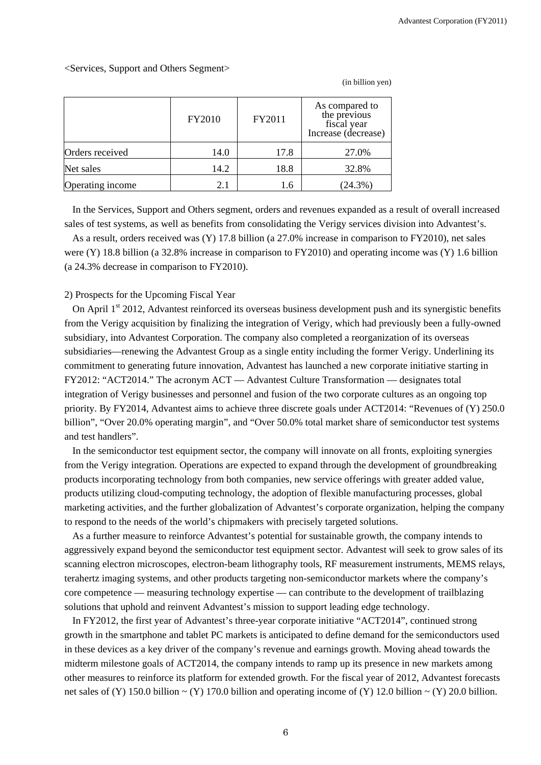#### <Services, Support and Others Segment>

|                  | FY2010 | FY2011 | As compared to<br>the previous<br>fiscal year<br>Increase (decrease) |
|------------------|--------|--------|----------------------------------------------------------------------|
| Orders received  | 14.0   | 17.8   | 27.0%                                                                |
| Net sales        | 14.2   | 18.8   | 32.8%                                                                |
| Operating income | 2.1    | 1.6    | (24.3%)                                                              |

(in billion yen)

In the Services, Support and Others segment, orders and revenues expanded as a result of overall increased sales of test systems, as well as benefits from consolidating the Verigy services division into Advantest's.

As a result, orders received was (Y) 17.8 billion (a 27.0% increase in comparison to FY2010), net sales were (Y) 18.8 billion (a 32.8% increase in comparison to FY2010) and operating income was (Y) 1.6 billion (a 24.3% decrease in comparison to FY2010).

#### 2) Prospects for the Upcoming Fiscal Year

On April  $1<sup>st</sup>$  2012, Advantest reinforced its overseas business development push and its synergistic benefits from the Verigy acquisition by finalizing the integration of Verigy, which had previously been a fully-owned subsidiary, into Advantest Corporation. The company also completed a reorganization of its overseas subsidiaries—renewing the Advantest Group as a single entity including the former Verigy. Underlining its commitment to generating future innovation, Advantest has launched a new corporate initiative starting in FY2012: "ACT2014." The acronym ACT — Advantest Culture Transformation — designates total integration of Verigy businesses and personnel and fusion of the two corporate cultures as an ongoing top priority. By FY2014, Advantest aims to achieve three discrete goals under ACT2014: "Revenues of (Y) 250.0 billion", "Over 20.0% operating margin", and "Over 50.0% total market share of semiconductor test systems and test handlers".

In the semiconductor test equipment sector, the company will innovate on all fronts, exploiting synergies from the Verigy integration. Operations are expected to expand through the development of groundbreaking products incorporating technology from both companies, new service offerings with greater added value, products utilizing cloud-computing technology, the adoption of flexible manufacturing processes, global marketing activities, and the further globalization of Advantest's corporate organization, helping the company to respond to the needs of the world's chipmakers with precisely targeted solutions.

As a further measure to reinforce Advantest's potential for sustainable growth, the company intends to aggressively expand beyond the semiconductor test equipment sector. Advantest will seek to grow sales of its scanning electron microscopes, electron-beam lithography tools, RF measurement instruments, MEMS relays, terahertz imaging systems, and other products targeting non-semiconductor markets where the company's core competence — measuring technology expertise — can contribute to the development of trailblazing solutions that uphold and reinvent Advantest's mission to support leading edge technology.

In FY2012, the first year of Advantest's three-year corporate initiative "ACT2014", continued strong growth in the smartphone and tablet PC markets is anticipated to define demand for the semiconductors used in these devices as a key driver of the company's revenue and earnings growth. Moving ahead towards the midterm milestone goals of ACT2014, the company intends to ramp up its presence in new markets among other measures to reinforce its platform for extended growth. For the fiscal year of 2012, Advantest forecasts net sales of (Y) 150.0 billion  $\sim$  (Y) 170.0 billion and operating income of (Y) 12.0 billion  $\sim$  (Y) 20.0 billion.

6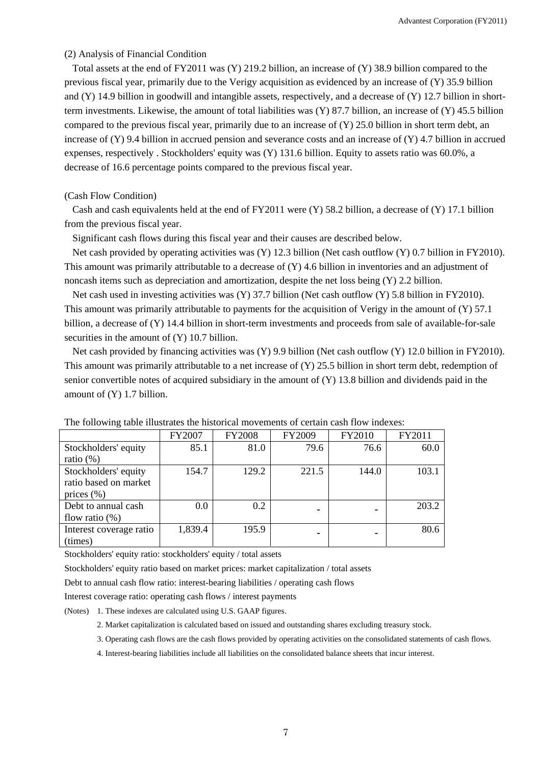#### (2) Analysis of Financial Condition

Total assets at the end of FY2011 was (Y) 219.2 billion, an increase of (Y) 38.9 billion compared to the previous fiscal year, primarily due to the Verigy acquisition as evidenced by an increase of (Y) 35.9 billion and (Y) 14.9 billion in goodwill and intangible assets, respectively, and a decrease of (Y) 12.7 billion in shortterm investments. Likewise, the amount of total liabilities was  $(Y)$  87.7 billion, an increase of  $(Y)$  45.5 billion compared to the previous fiscal year, primarily due to an increase of  $(Y)$  25.0 billion in short term debt, an increase of (Y) 9.4 billion in accrued pension and severance costs and an increase of (Y) 4.7 billion in accrued expenses, respectively . Stockholders' equity was (Y) 131.6 billion. Equity to assets ratio was 60.0%, a decrease of 16.6 percentage points compared to the previous fiscal year.

#### (Cash Flow Condition)

Cash and cash equivalents held at the end of FY2011 were  $(Y)$  58.2 billion, a decrease of  $(Y)$  17.1 billion from the previous fiscal year.

Significant cash flows during this fiscal year and their causes are described below.

Net cash provided by operating activities was (Y) 12.3 billion (Net cash outflow (Y) 0.7 billion in FY2010). This amount was primarily attributable to a decrease of (Y) 4.6 billion in inventories and an adjustment of noncash items such as depreciation and amortization, despite the net loss being (Y) 2.2 billion.

Net cash used in investing activities was (Y) 37.7 billion (Net cash outflow (Y) 5.8 billion in FY2010). This amount was primarily attributable to payments for the acquisition of Verigy in the amount of (Y) 57.1 billion, a decrease of (Y) 14.4 billion in short-term investments and proceeds from sale of available-for-sale securities in the amount of  $(Y)$  10.7 billion.

Net cash provided by financing activities was (Y) 9.9 billion (Net cash outflow (Y) 12.0 billion in FY2010). This amount was primarily attributable to a net increase of (Y) 25.5 billion in short term debt, redemption of senior convertible notes of acquired subsidiary in the amount of (Y) 13.8 billion and dividends paid in the amount of (Y) 1.7 billion.

|                         | FY2007  | <b>FY2008</b> | FY2009 | FY2010 | FY2011 |
|-------------------------|---------|---------------|--------|--------|--------|
| Stockholders' equity    | 85.1    | 81.0          | 79.6   | 76.6   | 60.0   |
| ratio $(\%)$            |         |               |        |        |        |
| Stockholders' equity    | 154.7   | 129.2         | 221.5  | 144.0  | 103.1  |
| ratio based on market   |         |               |        |        |        |
| prices $(\% )$          |         |               |        |        |        |
| Debt to annual cash     | 0.0     | 0.2           |        |        | 203.2  |
| flow ratio $(\%)$       |         |               |        |        |        |
| Interest coverage ratio | 1,839.4 | 195.9         |        |        | 80.6   |
| (times)                 |         |               |        |        |        |

The following table illustrates the historical movements of certain cash flow indexes:

Stockholders' equity ratio: stockholders' equity / total assets

Stockholders' equity ratio based on market prices: market capitalization / total assets

Debt to annual cash flow ratio: interest-bearing liabilities / operating cash flows

Interest coverage ratio: operating cash flows / interest payments

(Notes) 1. These indexes are calculated using U.S. GAAP figures.

2. Market capitalization is calculated based on issued and outstanding shares excluding treasury stock.

3. Operating cash flows are the cash flows provided by operating activities on the consolidated statements of cash flows.

4. Interest-bearing liabilities include all liabilities on the consolidated balance sheets that incur interest.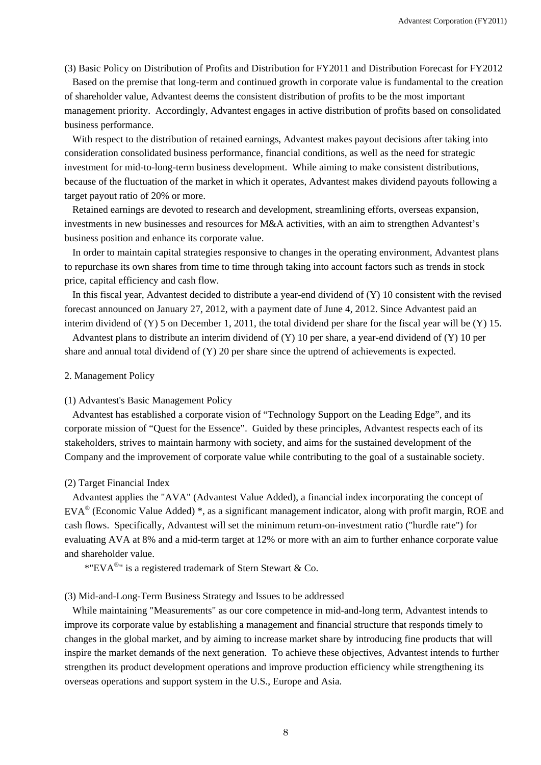(3) Basic Policy on Distribution of Profits and Distribution for FY2011 and Distribution Forecast for FY2012

Based on the premise that long-term and continued growth in corporate value is fundamental to the creation of shareholder value, Advantest deems the consistent distribution of profits to be the most important management priority. Accordingly, Advantest engages in active distribution of profits based on consolidated business performance.

With respect to the distribution of retained earnings, Advantest makes payout decisions after taking into consideration consolidated business performance, financial conditions, as well as the need for strategic investment for mid-to-long-term business development. While aiming to make consistent distributions, because of the fluctuation of the market in which it operates, Advantest makes dividend payouts following a target payout ratio of 20% or more.

Retained earnings are devoted to research and development, streamlining efforts, overseas expansion, investments in new businesses and resources for M&A activities, with an aim to strengthen Advantest's business position and enhance its corporate value.

In order to maintain capital strategies responsive to changes in the operating environment, Advantest plans to repurchase its own shares from time to time through taking into account factors such as trends in stock price, capital efficiency and cash flow.

In this fiscal year, Advantest decided to distribute a year-end dividend of (Y) 10 consistent with the revised forecast announced on January 27, 2012, with a payment date of June 4, 2012. Since Advantest paid an interim dividend of  $(Y)$  5 on December 1, 2011, the total dividend per share for the fiscal year will be  $(Y)$  15.

Advantest plans to distribute an interim dividend of (Y) 10 per share, a year-end dividend of (Y) 10 per share and annual total dividend of (Y) 20 per share since the uptrend of achievements is expected.

#### 2. Management Policy

#### (1) Advantest's Basic Management Policy

Advantest has established a corporate vision of "Technology Support on the Leading Edge", and its corporate mission of "Quest for the Essence". Guided by these principles, Advantest respects each of its stakeholders, strives to maintain harmony with society, and aims for the sustained development of the Company and the improvement of corporate value while contributing to the goal of a sustainable society.

#### (2) Target Financial Index

Advantest applies the "AVA" (Advantest Value Added), a financial index incorporating the concept of EVA® (Economic Value Added) \*, as a significant management indicator, along with profit margin, ROE and cash flows. Specifically, Advantest will set the minimum return-on-investment ratio ("hurdle rate") for evaluating AVA at 8% and a mid-term target at 12% or more with an aim to further enhance corporate value and shareholder value.

\*"EVA<sup>®</sup>" is a registered trademark of Stern Stewart & Co.

## (3) Mid-and-Long-Term Business Strategy and Issues to be addressed

While maintaining "Measurements" as our core competence in mid-and-long term, Advantest intends to improve its corporate value by establishing a management and financial structure that responds timely to changes in the global market, and by aiming to increase market share by introducing fine products that will inspire the market demands of the next generation. To achieve these objectives, Advantest intends to further strengthen its product development operations and improve production efficiency while strengthening its overseas operations and support system in the U.S., Europe and Asia.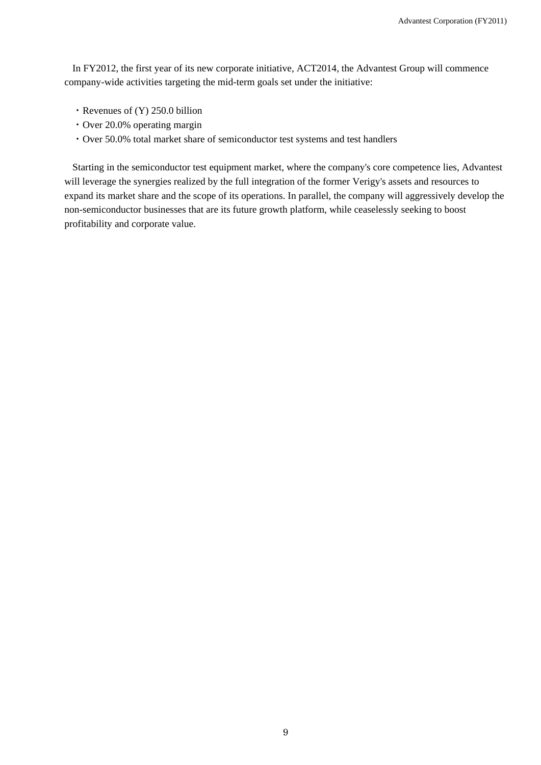In FY2012, the first year of its new corporate initiative, ACT2014, the Advantest Group will commence company-wide activities targeting the mid-term goals set under the initiative:

- ・Revenues of (Y) 250.0 billion
- ・Over 20.0% operating margin
- ・Over 50.0% total market share of semiconductor test systems and test handlers

Starting in the semiconductor test equipment market, where the company's core competence lies, Advantest will leverage the synergies realized by the full integration of the former Verigy's assets and resources to expand its market share and the scope of its operations. In parallel, the company will aggressively develop the non-semiconductor businesses that are its future growth platform, while ceaselessly seeking to boost profitability and corporate value.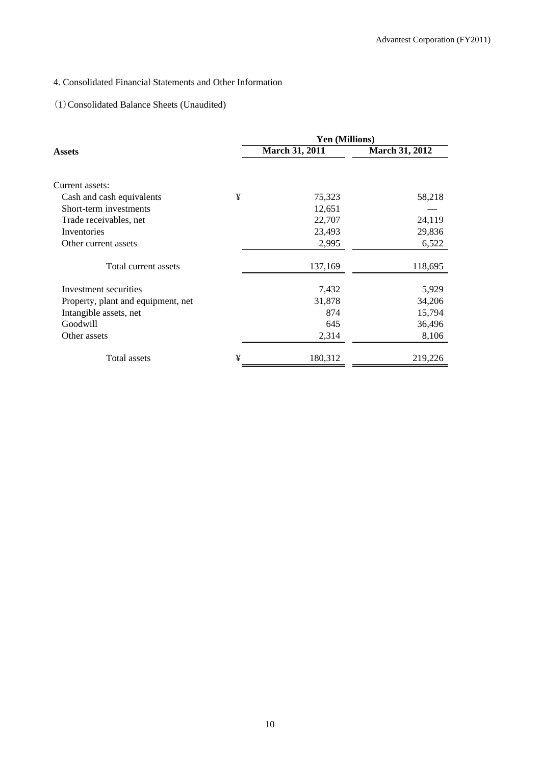## 4. Consolidated Financial Statements and Other Information

## (1)Consolidated Balance Sheets (Unaudited)

|                                    |   | Yen (Millions) |                       |  |  |
|------------------------------------|---|----------------|-----------------------|--|--|
| Assets                             |   | March 31, 2011 | <b>March 31, 2012</b> |  |  |
|                                    |   |                |                       |  |  |
| Current assets:                    |   |                |                       |  |  |
| Cash and cash equivalents          | ¥ | 75,323         | 58,218                |  |  |
| Short-term investments             |   | 12,651         |                       |  |  |
| Trade receivables, net             |   | 22,707         | 24,119                |  |  |
| Inventories                        |   | 23,493         | 29,836                |  |  |
| Other current assets               |   | 2,995          | 6,522                 |  |  |
| Total current assets               |   | 137,169        | 118,695               |  |  |
| Investment securities              |   | 7,432          | 5,929                 |  |  |
| Property, plant and equipment, net |   | 31,878         | 34,206                |  |  |
| Intangible assets, net             |   | 874            | 15,794                |  |  |
| Goodwill                           |   | 645            | 36,496                |  |  |
| Other assets                       |   | 2,314          | 8,106                 |  |  |
| Total assets                       | ¥ | 180,312        | 219,226               |  |  |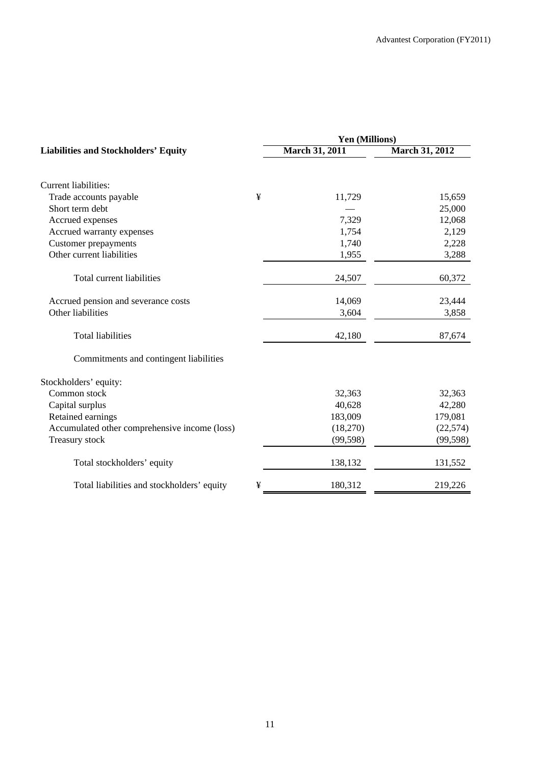|                                               | Yen (Millions) |                       |                       |  |
|-----------------------------------------------|----------------|-----------------------|-----------------------|--|
| <b>Liabilities and Stockholders' Equity</b>   |                | <b>March 31, 2011</b> | <b>March 31, 2012</b> |  |
| <b>Current liabilities:</b>                   |                |                       |                       |  |
| Trade accounts payable                        | ¥              | 11,729                | 15,659                |  |
| Short term debt                               |                |                       | 25,000                |  |
| Accrued expenses                              |                | 7,329                 | 12,068                |  |
| Accrued warranty expenses                     |                | 1,754                 | 2,129                 |  |
| <b>Customer prepayments</b>                   |                | 1,740                 | 2,228                 |  |
| Other current liabilities                     |                | 1,955                 | 3,288                 |  |
| Total current liabilities                     |                | 24,507                | 60,372                |  |
| Accrued pension and severance costs           |                | 14,069                | 23,444                |  |
| Other liabilities                             |                | 3,604                 | 3,858                 |  |
| <b>Total liabilities</b>                      |                | 42,180                | 87,674                |  |
| Commitments and contingent liabilities        |                |                       |                       |  |
| Stockholders' equity:                         |                |                       |                       |  |
| Common stock                                  |                | 32,363                | 32,363                |  |
| Capital surplus                               |                | 40,628                | 42,280                |  |
| Retained earnings                             |                | 183,009               | 179,081               |  |
| Accumulated other comprehensive income (loss) |                | (18,270)              | (22, 574)             |  |
| Treasury stock                                |                | (99, 598)             | (99, 598)             |  |
| Total stockholders' equity                    |                | 138,132               | 131,552               |  |
| Total liabilities and stockholders' equity    | ¥              | 180,312               | 219,226               |  |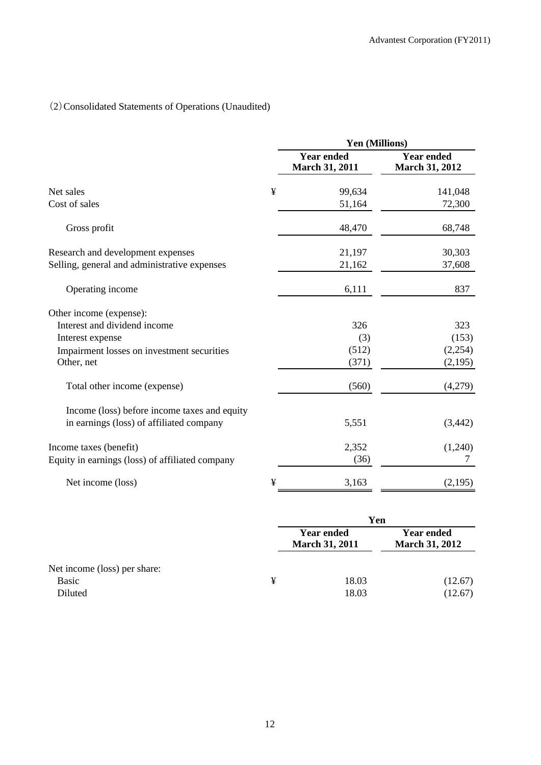# (2)Consolidated Statements of Operations (Unaudited)

|                                                 |   | Yen (Millions)                             |                                            |  |
|-------------------------------------------------|---|--------------------------------------------|--------------------------------------------|--|
|                                                 |   | <b>Year ended</b><br><b>March 31, 2011</b> | <b>Year ended</b><br><b>March 31, 2012</b> |  |
| Net sales                                       | ¥ | 99,634                                     | 141,048                                    |  |
| Cost of sales                                   |   | 51,164                                     | 72,300                                     |  |
| Gross profit                                    |   | 48,470                                     | 68,748                                     |  |
| Research and development expenses               |   | 21,197                                     | 30,303                                     |  |
| Selling, general and administrative expenses    |   | 21,162                                     | 37,608                                     |  |
| Operating income                                |   | 6,111                                      | 837                                        |  |
| Other income (expense):                         |   |                                            |                                            |  |
| Interest and dividend income                    |   | 326                                        | 323                                        |  |
| Interest expense                                |   | (3)                                        | (153)                                      |  |
| Impairment losses on investment securities      |   | (512)                                      | (2,254)                                    |  |
| Other, net                                      |   | (371)                                      | (2,195)                                    |  |
| Total other income (expense)                    |   | (560)                                      | (4,279)                                    |  |
| Income (loss) before income taxes and equity    |   |                                            |                                            |  |
| in earnings (loss) of affiliated company        |   | 5,551                                      | (3, 442)                                   |  |
| Income taxes (benefit)                          |   | 2,352                                      | (1,240)                                    |  |
| Equity in earnings (loss) of affiliated company |   | (36)                                       | 7                                          |  |
| Net income (loss)                               | ¥ | 3,163                                      | (2,195)                                    |  |

|                              |   | Yen                                        |                                            |  |
|------------------------------|---|--------------------------------------------|--------------------------------------------|--|
|                              |   | <b>Year ended</b><br><b>March 31, 2011</b> | <b>Year ended</b><br><b>March 31, 2012</b> |  |
| Net income (loss) per share: |   |                                            |                                            |  |
| <b>Basic</b>                 | ¥ | 18.03                                      | (12.67)                                    |  |
| Diluted                      |   | 18.03                                      | (12.67)                                    |  |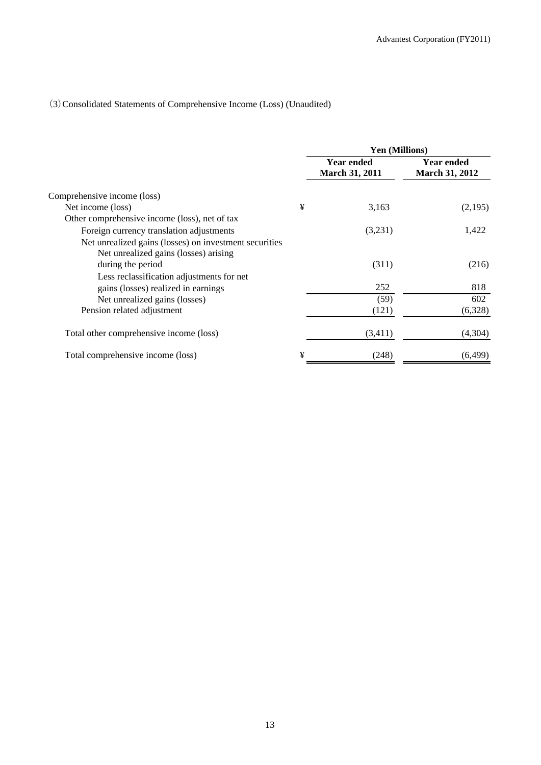## (3)Consolidated Statements of Comprehensive Income (Loss) (Unaudited)

|                                                                                                 |   | Yen (Millions)                             |                                            |  |
|-------------------------------------------------------------------------------------------------|---|--------------------------------------------|--------------------------------------------|--|
|                                                                                                 |   | <b>Year ended</b><br><b>March 31, 2011</b> | <b>Year ended</b><br><b>March 31, 2012</b> |  |
| Comprehensive income (loss)                                                                     |   |                                            |                                            |  |
| Net income (loss)                                                                               | ¥ | 3,163                                      | (2,195)                                    |  |
| Other comprehensive income (loss), net of tax                                                   |   |                                            |                                            |  |
| Foreign currency translation adjustments                                                        |   | (3,231)                                    | 1,422                                      |  |
| Net unrealized gains (losses) on investment securities<br>Net unrealized gains (losses) arising |   |                                            |                                            |  |
| during the period                                                                               |   | (311)                                      | (216)                                      |  |
| Less reclassification adjustments for net                                                       |   |                                            |                                            |  |
| gains (losses) realized in earnings                                                             |   | 252                                        | 818                                        |  |
| Net unrealized gains (losses)                                                                   |   | (59)                                       | 602                                        |  |
| Pension related adjustment                                                                      |   | (121)                                      | (6,328)                                    |  |
| Total other comprehensive income (loss)                                                         |   | (3,411)                                    | (4,304)                                    |  |
| Total comprehensive income (loss)                                                               | ¥ | (248)                                      | (6, 499)                                   |  |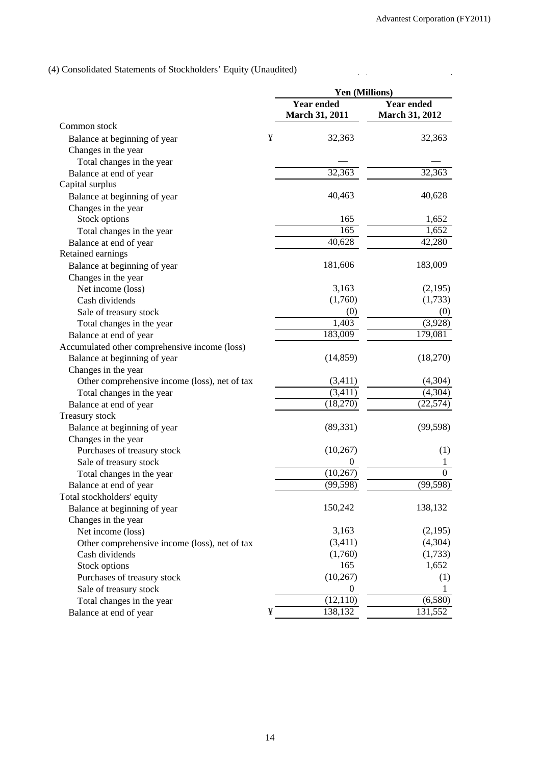$\ddot{\phantom{a}}$ 

 $\hat{z}$  .

(4) Consolidated Statements of Stockholders' Equity (Unaudited)

|                                               |   | Yen (Millions)                             |                                            |
|-----------------------------------------------|---|--------------------------------------------|--------------------------------------------|
|                                               |   | <b>Year ended</b><br><b>March 31, 2011</b> | <b>Year ended</b><br><b>March 31, 2012</b> |
| Common stock                                  |   |                                            |                                            |
| Balance at beginning of year                  | ¥ | 32,363                                     | 32,363                                     |
| Changes in the year                           |   |                                            |                                            |
| Total changes in the year                     |   |                                            |                                            |
| Balance at end of year                        |   | 32,363                                     | 32,363                                     |
| Capital surplus                               |   |                                            |                                            |
| Balance at beginning of year                  |   | 40,463                                     | 40,628                                     |
| Changes in the year                           |   |                                            |                                            |
| Stock options                                 |   | 165                                        | 1,652                                      |
| Total changes in the year                     |   | 165                                        | 1,652                                      |
| Balance at end of year                        |   | 40,628                                     | 42,280                                     |
| Retained earnings                             |   |                                            |                                            |
| Balance at beginning of year                  |   | 181,606                                    | 183,009                                    |
| Changes in the year                           |   |                                            |                                            |
| Net income (loss)                             |   | 3,163                                      | (2,195)                                    |
| Cash dividends                                |   | (1,760)                                    | (1,733)                                    |
| Sale of treasury stock                        |   | (0)                                        | (0)                                        |
| Total changes in the year                     |   | 1,403                                      | (3,928)                                    |
| Balance at end of year                        |   | 183,009                                    | 179,081                                    |
| Accumulated other comprehensive income (loss) |   |                                            |                                            |
| Balance at beginning of year                  |   | (14, 859)                                  | (18,270)                                   |
| Changes in the year                           |   |                                            |                                            |
| Other comprehensive income (loss), net of tax |   | (3,411)                                    | (4,304)                                    |
| Total changes in the year                     |   | (3,411)                                    | (4,304)                                    |
| Balance at end of year                        |   | (18,270)                                   | (22, 574)                                  |
| Treasury stock                                |   |                                            |                                            |
| Balance at beginning of year                  |   | (89, 331)                                  | (99, 598)                                  |
| Changes in the year                           |   |                                            |                                            |
| Purchases of treasury stock                   |   | (10,267)                                   | (1)                                        |
| Sale of treasury stock                        |   | $\overline{0}$                             | 1                                          |
| Total changes in the year                     |   | (10, 267)                                  | $\theta$                                   |
| Balance at end of year                        |   | (99, 598)                                  | (99, 598)                                  |
| Total stockholders' equity                    |   |                                            |                                            |
| Balance at beginning of year                  |   | 150,242                                    | 138,132                                    |
| Changes in the year                           |   |                                            |                                            |
| Net income (loss)                             |   | 3,163                                      | (2,195)                                    |
| Other comprehensive income (loss), net of tax |   | (3,411)                                    | (4,304)                                    |
| Cash dividends                                |   | (1,760)                                    | (1,733)                                    |
| Stock options                                 |   | 165                                        | 1,652                                      |
| Purchases of treasury stock                   |   | (10, 267)                                  | (1)                                        |
| Sale of treasury stock                        |   | $\boldsymbol{0}$                           | 1                                          |
| Total changes in the year                     |   | (12,110)                                   | (6,580)                                    |
| Balance at end of year                        | ¥ | 138,132                                    | 131,552                                    |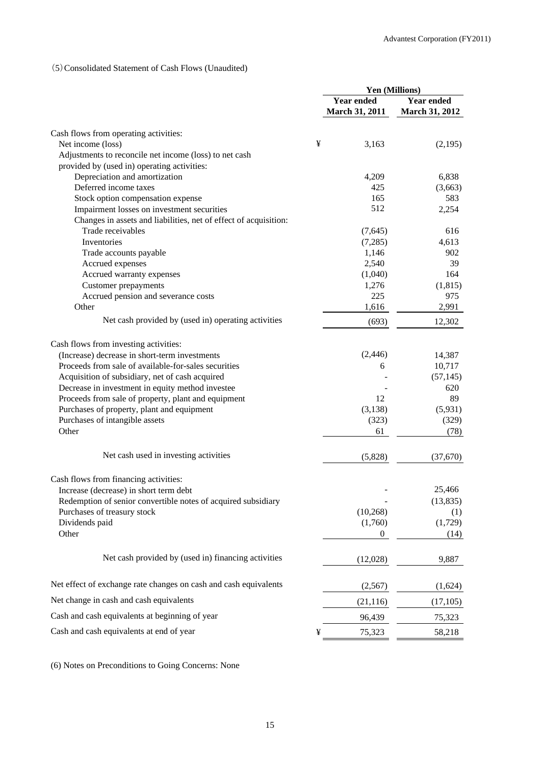## (5)Consolidated Statement of Cash Flows (Unaudited)

|                                                                  | Yen (Millions)        |                       |  |
|------------------------------------------------------------------|-----------------------|-----------------------|--|
|                                                                  | <b>Year ended</b>     | <b>Year ended</b>     |  |
|                                                                  | <b>March 31, 2011</b> | <b>March 31, 2012</b> |  |
| Cash flows from operating activities:                            |                       |                       |  |
| Net income (loss)                                                | ¥<br>3,163            | (2,195)               |  |
| Adjustments to reconcile net income (loss) to net cash           |                       |                       |  |
| provided by (used in) operating activities:                      |                       |                       |  |
| Depreciation and amortization                                    | 4,209                 | 6,838                 |  |
| Deferred income taxes                                            | 425                   | (3,663)               |  |
| Stock option compensation expense                                | 165                   | 583                   |  |
| Impairment losses on investment securities                       | 512                   | 2,254                 |  |
| Changes in assets and liabilities, net of effect of acquisition: |                       |                       |  |
| Trade receivables                                                | (7,645)               | 616                   |  |
| Inventories                                                      | (7,285)               | 4,613                 |  |
| Trade accounts payable                                           | 1,146                 | 902                   |  |
| Accrued expenses                                                 | 2,540                 | 39                    |  |
| Accrued warranty expenses                                        | (1,040)               | 164                   |  |
| <b>Customer</b> prepayments                                      | 1,276                 | (1, 815)              |  |
| Accrued pension and severance costs                              | 225                   | 975                   |  |
| Other                                                            | 1,616                 | 2,991                 |  |
| Net cash provided by (used in) operating activities              | (693)                 | 12,302                |  |
|                                                                  |                       |                       |  |
| Cash flows from investing activities:                            |                       |                       |  |
| (Increase) decrease in short-term investments                    | (2, 446)              | 14,387                |  |
| Proceeds from sale of available-for-sales securities             |                       | 10,717<br>6           |  |
| Acquisition of subsidiary, net of cash acquired                  |                       | (57, 145)             |  |
| Decrease in investment in equity method investee                 |                       | 620                   |  |
| Proceeds from sale of property, plant and equipment              | 12                    | 89                    |  |
| Purchases of property, plant and equipment                       | (3, 138)              | (5,931)               |  |
| Purchases of intangible assets                                   | (323)                 | (329)                 |  |
| Other                                                            | 61                    | (78)                  |  |
| Net cash used in investing activities                            | (5,828)               | (37,670)              |  |
| Cash flows from financing activities:                            |                       |                       |  |
| Increase (decrease) in short term debt                           |                       | 25,466                |  |
| Redemption of senior convertible notes of acquired subsidiary    |                       | (13, 835)             |  |
| Purchases of treasury stock                                      | (10, 268)             | (1)                   |  |
| Dividends paid                                                   | (1,760)               | (1,729)               |  |
| Other                                                            |                       | $\mathbf{0}$<br>(14)  |  |
| Net cash provided by (used in) financing activities              | (12,028)              | 9,887                 |  |
|                                                                  |                       |                       |  |
| Net effect of exchange rate changes on cash and cash equivalents | (2,567)               | (1,624)               |  |
| Net change in cash and cash equivalents                          | (21, 116)             | (17,105)              |  |
| Cash and cash equivalents at beginning of year                   | 96,439                | 75,323                |  |
| Cash and cash equivalents at end of year                         | ¥<br>75,323           | 58,218                |  |

(6) Notes on Preconditions to Going Concerns: None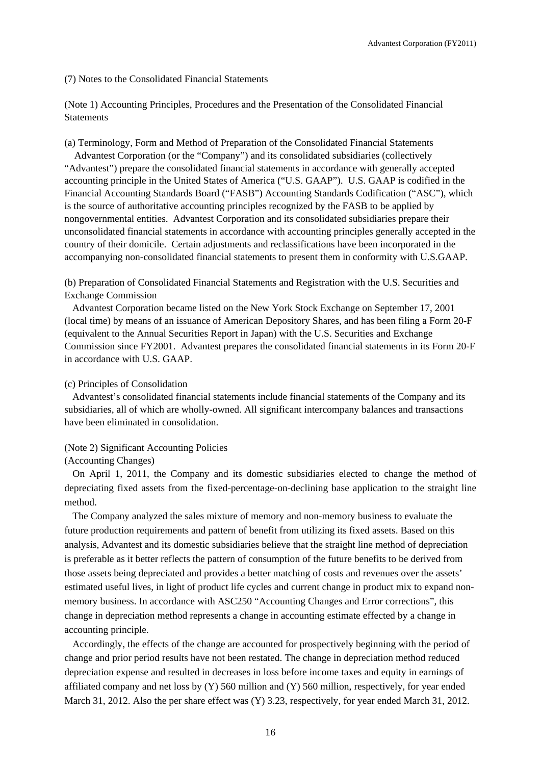#### (7) Notes to the Consolidated Financial Statements

(Note 1) Accounting Principles, Procedures and the Presentation of the Consolidated Financial **Statements** 

(a) Terminology, Form and Method of Preparation of the Consolidated Financial Statements

Advantest Corporation (or the "Company") and its consolidated subsidiaries (collectively "Advantest") prepare the consolidated financial statements in accordance with generally accepted accounting principle in the United States of America ("U.S. GAAP"). U.S. GAAP is codified in the Financial Accounting Standards Board ("FASB") Accounting Standards Codification ("ASC"), which is the source of authoritative accounting principles recognized by the FASB to be applied by nongovernmental entities. Advantest Corporation and its consolidated subsidiaries prepare their unconsolidated financial statements in accordance with accounting principles generally accepted in the country of their domicile. Certain adjustments and reclassifications have been incorporated in the accompanying non-consolidated financial statements to present them in conformity with U.S.GAAP.

(b) Preparation of Consolidated Financial Statements and Registration with the U.S. Securities and Exchange Commission

Advantest Corporation became listed on the New York Stock Exchange on September 17, 2001 (local time) by means of an issuance of American Depository Shares, and has been filing a Form 20-F (equivalent to the Annual Securities Report in Japan) with the U.S. Securities and Exchange Commission since FY2001. Advantest prepares the consolidated financial statements in its Form 20-F in accordance with U.S. GAAP.

#### (c) Principles of Consolidation

Advantest's consolidated financial statements include financial statements of the Company and its subsidiaries, all of which are wholly-owned. All significant intercompany balances and transactions have been eliminated in consolidation.

#### (Note 2) Significant Accounting Policies

On April 1, 2011, the Company and its domestic subsidiaries elected to change the method of depreciating fixed assets from the fixed-percentage-on-declining base application to the straight line method.

The Company analyzed the sales mixture of memory and non-memory business to evaluate the future production requirements and pattern of benefit from utilizing its fixed assets. Based on this analysis, Advantest and its domestic subsidiaries believe that the straight line method of depreciation is preferable as it better reflects the pattern of consumption of the future benefits to be derived from those assets being depreciated and provides a better matching of costs and revenues over the assets' estimated useful lives, in light of product life cycles and current change in product mix to expand nonmemory business. In accordance with ASC250 "Accounting Changes and Error corrections", this change in depreciation method represents a change in accounting estimate effected by a change in accounting principle.

Accordingly, the effects of the change are accounted for prospectively beginning with the period of change and prior period results have not been restated. The change in depreciation method reduced depreciation expense and resulted in decreases in loss before income taxes and equity in earnings of affiliated company and net loss by  $(Y)$  560 million and  $(Y)$  560 million, respectively, for year ended March 31, 2012. Also the per share effect was (Y) 3.23, respectively, for year ended March 31, 2012.

<sup>(</sup>Accounting Changes)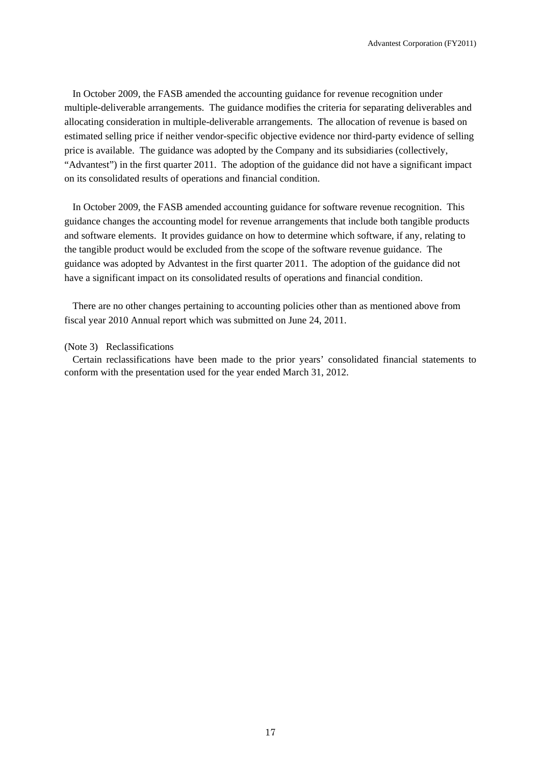In October 2009, the FASB amended the accounting guidance for revenue recognition under multiple-deliverable arrangements. The guidance modifies the criteria for separating deliverables and allocating consideration in multiple-deliverable arrangements. The allocation of revenue is based on estimated selling price if neither vendor-specific objective evidence nor third-party evidence of selling price is available. The guidance was adopted by the Company and its subsidiaries (collectively, "Advantest") in the first quarter 2011. The adoption of the guidance did not have a significant impact on its consolidated results of operations and financial condition.

In October 2009, the FASB amended accounting guidance for software revenue recognition. This guidance changes the accounting model for revenue arrangements that include both tangible products and software elements. It provides guidance on how to determine which software, if any, relating to the tangible product would be excluded from the scope of the software revenue guidance. The guidance was adopted by Advantest in the first quarter 2011. The adoption of the guidance did not have a significant impact on its consolidated results of operations and financial condition.

There are no other changes pertaining to accounting policies other than as mentioned above from fiscal year 2010 Annual report which was submitted on June 24, 2011.

#### (Note 3) Reclassifications

Certain reclassifications have been made to the prior years' consolidated financial statements to conform with the presentation used for the year ended March 31, 2012.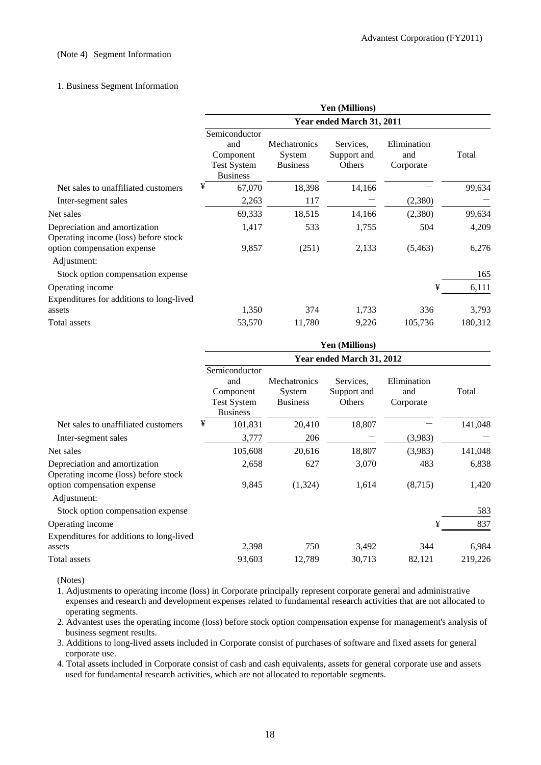#### (Note 4) Segment Information

### 1. Business Segment Information

|                                                                       | Yen (Millions)<br>Year ended March 31, 2011                                |                                                  |                                    |                                 |         |
|-----------------------------------------------------------------------|----------------------------------------------------------------------------|--------------------------------------------------|------------------------------------|---------------------------------|---------|
|                                                                       |                                                                            |                                                  |                                    |                                 |         |
|                                                                       | Semiconductor<br>and<br>Component<br><b>Test System</b><br><b>Business</b> | <b>Mechatronics</b><br>System<br><b>Business</b> | Services.<br>Support and<br>Others | Elimination<br>and<br>Corporate | Total   |
| Net sales to unaffiliated customers                                   | ¥<br>67,070                                                                | 18,398                                           | 14,166                             |                                 | 99,634  |
| Inter-segment sales                                                   | 2,263                                                                      | 117                                              |                                    | (2,380)                         |         |
| Net sales                                                             | 69,333                                                                     | 18,515                                           | 14,166                             | (2,380)                         | 99,634  |
| Depreciation and amortization<br>Operating income (loss) before stock | 1,417                                                                      | 533                                              | 1,755                              | 504                             | 4,209   |
| option compensation expense<br>Adjustment:                            | 9,857                                                                      | (251)                                            | 2,133                              | (5, 463)                        | 6,276   |
| Stock option compensation expense                                     |                                                                            |                                                  |                                    |                                 | 165     |
| Operating income                                                      |                                                                            |                                                  |                                    | ¥                               | 6,111   |
| Expenditures for additions to long-lived                              |                                                                            |                                                  |                                    |                                 |         |
| assets                                                                | 1,350                                                                      | 374                                              | 1,733                              | 336                             | 3,793   |
| Total assets                                                          | 53,570                                                                     | 11,780                                           | 9,226                              | 105,736                         | 180,312 |

|                                                                       | <b>Yen (Millions)</b><br>Year ended March 31, 2012                         |                                                  |                                    |                                 |         |
|-----------------------------------------------------------------------|----------------------------------------------------------------------------|--------------------------------------------------|------------------------------------|---------------------------------|---------|
|                                                                       |                                                                            |                                                  |                                    |                                 |         |
|                                                                       | Semiconductor<br>and<br>Component<br><b>Test System</b><br><b>Business</b> | <b>Mechatronics</b><br>System<br><b>Business</b> | Services.<br>Support and<br>Others | Elimination<br>and<br>Corporate | Total   |
| Net sales to unaffiliated customers                                   | ¥<br>101,831                                                               | 20,410                                           | 18,807                             |                                 | 141,048 |
| Inter-segment sales                                                   | 3,777                                                                      | 206                                              |                                    | (3,983)                         |         |
| Net sales                                                             | 105,608                                                                    | 20,616                                           | 18,807                             | (3,983)                         | 141,048 |
| Depreciation and amortization<br>Operating income (loss) before stock | 2,658                                                                      | 627                                              | 3,070                              | 483                             | 6,838   |
| option compensation expense<br>Adjustment:                            | 9,845                                                                      | (1,324)                                          | 1,614                              | (8,715)                         | 1,420   |
| Stock option compensation expense                                     |                                                                            |                                                  |                                    |                                 | 583     |
| Operating income<br>Expenditures for additions to long-lived          |                                                                            |                                                  |                                    | ¥                               | 837     |
| assets                                                                | 2,398                                                                      | 750                                              | 3,492                              | 344                             | 6,984   |
| Total assets                                                          | 93,603                                                                     | 12,789                                           | 30,713                             | 82,121                          | 219,226 |

(Notes)

1. Adjustments to operating income (loss) in Corporate principally represent corporate general and administrative expenses and research and development expenses related to fundamental research activities that are not allocated to operating segments.

2. Advantest uses the operating income (loss) before stock option compensation expense for management's analysis of business segment results.

3. Additions to long-lived assets included in Corporate consist of purchases of software and fixed assets for general corporate use.

4. Total assets included in Corporate consist of cash and cash equivalents, assets for general corporate use and assets used for fundamental research activities, which are not allocated to reportable segments.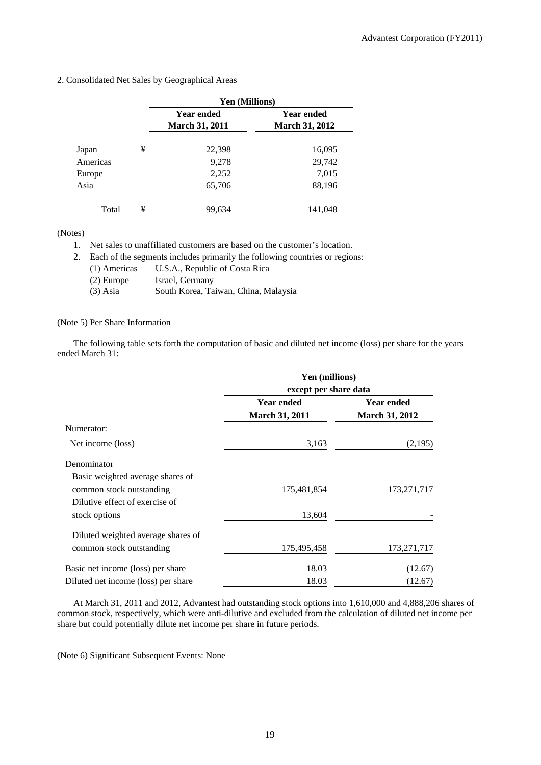|          |   | Yen (Millions)        |                       |  |  |
|----------|---|-----------------------|-----------------------|--|--|
|          |   | <b>Year ended</b>     | <b>Year ended</b>     |  |  |
|          |   | <b>March 31, 2011</b> | <b>March 31, 2012</b> |  |  |
|          |   |                       |                       |  |  |
| Japan    | ¥ | 22,398                | 16,095                |  |  |
| Americas |   | 9,278                 | 29,742                |  |  |
| Europe   |   | 2,252                 | 7,015                 |  |  |
| Asia     |   | 65,706                | 88,196                |  |  |
|          |   |                       |                       |  |  |
| Total    | ¥ | 99,634                | 141,048               |  |  |

#### 2. Consolidated Net Sales by Geographical Areas

(Notes)

1. Net sales to unaffiliated customers are based on the customer's location.

2. Each of the segments includes primarily the following countries or regions:

| (1) Americas | U.S.A., Republic of Costa Rica |
|--------------|--------------------------------|
|--------------|--------------------------------|

- (2) Europe Israel, Germany<br>
(3) Asia South Korea, Ta
- South Korea, Taiwan, China, Malaysia

## (Note 5) Per Share Information

The following table sets forth the computation of basic and diluted net income (loss) per share for the years ended March 31:

|                                     | Yen (millions)<br>except per share data |                       |
|-------------------------------------|-----------------------------------------|-----------------------|
|                                     |                                         |                       |
|                                     | <b>Year ended</b>                       | <b>Year ended</b>     |
|                                     | <b>March 31, 2011</b>                   | <b>March 31, 2012</b> |
| Numerator:                          |                                         |                       |
| Net income (loss)                   | 3,163                                   | (2,195)               |
| Denominator                         |                                         |                       |
| Basic weighted average shares of    |                                         |                       |
| common stock outstanding            | 175,481,854                             | 173, 271, 717         |
| Dilutive effect of exercise of      |                                         |                       |
| stock options                       | 13,604                                  |                       |
| Diluted weighted average shares of  |                                         |                       |
| common stock outstanding            | 175,495,458                             | 173, 271, 717         |
| Basic net income (loss) per share   | 18.03                                   | (12.67)               |
| Diluted net income (loss) per share | 18.03                                   | (12.67)               |

At March 31, 2011 and 2012, Advantest had outstanding stock options into 1,610,000 and 4,888,206 shares of common stock, respectively, which were anti-dilutive and excluded from the calculation of diluted net income per share but could potentially dilute net income per share in future periods.

(Note 6) Significant Subsequent Events: None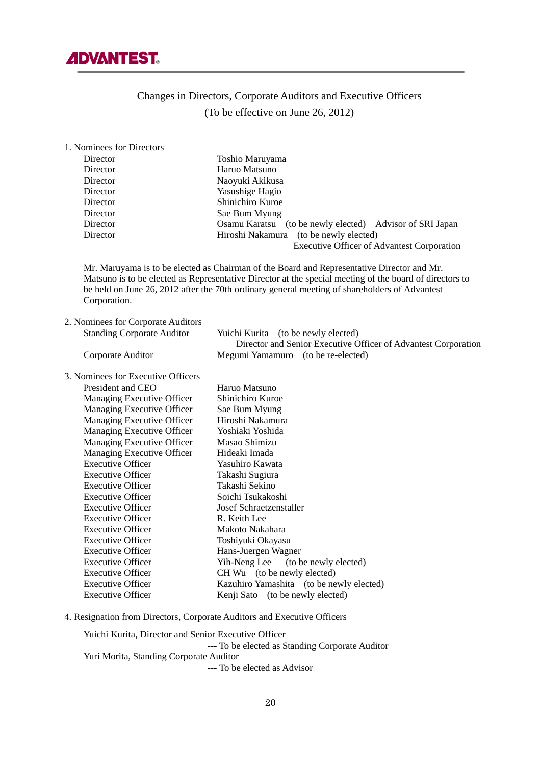

# Changes in Directors, Corporate Auditors and Executive Officers (To be effective on June 26, 2012)

| 1. Nominees for Directors                                                                                                                                                                                                                                                                                              |                                                                |  |
|------------------------------------------------------------------------------------------------------------------------------------------------------------------------------------------------------------------------------------------------------------------------------------------------------------------------|----------------------------------------------------------------|--|
| Director                                                                                                                                                                                                                                                                                                               | Toshio Maruyama                                                |  |
| Director                                                                                                                                                                                                                                                                                                               | Haruo Matsuno                                                  |  |
| Director                                                                                                                                                                                                                                                                                                               | Naoyuki Akikusa                                                |  |
| Director                                                                                                                                                                                                                                                                                                               | Yasushige Hagio                                                |  |
| Director                                                                                                                                                                                                                                                                                                               | Shinichiro Kuroe                                               |  |
| Director                                                                                                                                                                                                                                                                                                               | Sae Bum Myung                                                  |  |
| Director                                                                                                                                                                                                                                                                                                               | Osamu Karatsu (to be newly elected) Advisor of SRI Japan       |  |
| Director                                                                                                                                                                                                                                                                                                               | Hiroshi Nakamura (to be newly elected)                         |  |
|                                                                                                                                                                                                                                                                                                                        | <b>Executive Officer of Advantest Corporation</b>              |  |
| Mr. Maruyama is to be elected as Chairman of the Board and Representative Director and Mr.<br>Matsuno is to be elected as Representative Director at the special meeting of the board of directors to<br>be held on June 26, 2012 after the 70th ordinary general meeting of shareholders of Advantest<br>Corporation. |                                                                |  |
| 2. Nominees for Corporate Auditors                                                                                                                                                                                                                                                                                     |                                                                |  |
| <b>Standing Corporate Auditor</b>                                                                                                                                                                                                                                                                                      | Yuichi Kurita (to be newly elected)                            |  |
|                                                                                                                                                                                                                                                                                                                        | Director and Senior Executive Officer of Advantest Corporation |  |
| Corporate Auditor                                                                                                                                                                                                                                                                                                      | Megumi Yamamuro (to be re-elected)                             |  |
|                                                                                                                                                                                                                                                                                                                        |                                                                |  |
| 3. Nominees for Executive Officers                                                                                                                                                                                                                                                                                     |                                                                |  |
| President and CEO                                                                                                                                                                                                                                                                                                      | Haruo Matsuno                                                  |  |
| Managing Executive Officer                                                                                                                                                                                                                                                                                             | Shinichiro Kuroe                                               |  |
| Managing Executive Officer                                                                                                                                                                                                                                                                                             | Sae Bum Myung                                                  |  |
| Managing Executive Officer                                                                                                                                                                                                                                                                                             | Hiroshi Nakamura                                               |  |
| Managing Executive Officer                                                                                                                                                                                                                                                                                             | Yoshiaki Yoshida                                               |  |
| Managing Executive Officer                                                                                                                                                                                                                                                                                             | Masao Shimizu                                                  |  |
| Managing Executive Officer                                                                                                                                                                                                                                                                                             | Hideaki Imada                                                  |  |
| <b>Executive Officer</b>                                                                                                                                                                                                                                                                                               | Yasuhiro Kawata                                                |  |
| <b>Executive Officer</b>                                                                                                                                                                                                                                                                                               | Takashi Sugiura                                                |  |
| <b>Executive Officer</b>                                                                                                                                                                                                                                                                                               | Takashi Sekino                                                 |  |
| <b>Executive Officer</b>                                                                                                                                                                                                                                                                                               | Soichi Tsukakoshi                                              |  |
| <b>Executive Officer</b>                                                                                                                                                                                                                                                                                               | Josef Schraetzenstaller                                        |  |
| <b>Executive Officer</b>                                                                                                                                                                                                                                                                                               | R. Keith Lee                                                   |  |
| <b>Executive Officer</b>                                                                                                                                                                                                                                                                                               | Makoto Nakahara                                                |  |
| <b>Executive Officer</b>                                                                                                                                                                                                                                                                                               | Toshiyuki Okayasu                                              |  |
| <b>Executive Officer</b>                                                                                                                                                                                                                                                                                               | Hans-Juergen Wagner                                            |  |
| <b>Executive Officer</b>                                                                                                                                                                                                                                                                                               | Yih-Neng Lee<br>(to be newly elected)                          |  |
| <b>Executive Officer</b>                                                                                                                                                                                                                                                                                               | CH Wu (to be newly elected)                                    |  |
| <b>Executive Officer</b>                                                                                                                                                                                                                                                                                               | Kazuhiro Yamashita (to be newly elected)                       |  |
| <b>Executive Officer</b>                                                                                                                                                                                                                                                                                               | Kenji Sato (to be newly elected)                               |  |

4. Resignation from Directors, Corporate Auditors and Executive Officers

 Yuichi Kurita, Director and Senior Executive Officer --- To be elected as Standing Corporate Auditor Yuri Morita, Standing Corporate Auditor --- To be elected as Advisor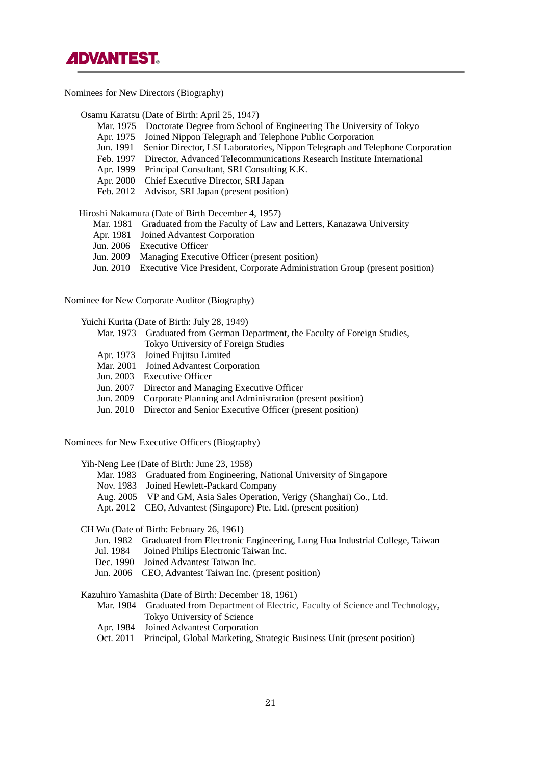

Nominees for New Directors (Biography)

Osamu Karatsu (Date of Birth: April 25, 1947)

- Mar. 1975 Doctorate Degree from School of Engineering The University of Tokyo
- Apr. 1975 Joined Nippon Telegraph and Telephone Public Corporation
- Jun. 1991 Senior Director, LSI Laboratories, Nippon Telegraph and Telephone Corporation
- Feb. 1997 Director, Advanced Telecommunications Research Institute International
- Apr. 1999 Principal Consultant, SRI Consulting K.K.
- Apr. 2000 Chief Executive Director, SRI Japan
- Feb. 2012 Advisor, SRI Japan (present position)

Hiroshi Nakamura (Date of Birth December 4, 1957)

- Mar. 1981 Graduated from the Faculty of Law and Letters, Kanazawa University
- Apr. 1981 Joined Advantest Corporation
- Jun. 2006 Executive Officer
- Jun. 2009 Managing Executive Officer (present position)
- Jun. 2010 Executive Vice President, Corporate Administration Group (present position)

Nominee for New Corporate Auditor (Biography)

Yuichi Kurita (Date of Birth: July 28, 1949)

- Mar. 1973 Graduated from German Department, the Faculty of Foreign Studies, Tokyo University of Foreign Studies
- Apr. 1973 Joined Fujitsu Limited
- Mar. 2001 Joined Advantest Corporation
- Jun. 2003 Executive Officer
- Jun. 2007 Director and Managing Executive Officer
- Jun. 2009 Corporate Planning and Administration (present position)
- Jun. 2010 Director and Senior Executive Officer (present position)

Nominees for New Executive Officers (Biography)

Yih-Neng Lee (Date of Birth: June 23, 1958)

- Mar. 1983 Graduated from Engineering, National University of Singapore
- Nov. 1983 Joined Hewlett-Packard Company
- Aug. 2005 VP and GM, Asia Sales Operation, Verigy (Shanghai) Co., Ltd.
- Apt. 2012 CEO, Advantest (Singapore) Pte. Ltd. (present position)

CH Wu (Date of Birth: February 26, 1961)

- Jun. 1982 Graduated from Electronic Engineering, Lung Hua Industrial College, Taiwan
- Jul. 1984 Joined Philips Electronic Taiwan Inc.
- Dec. 1990 Joined Advantest Taiwan Inc.
- Jun. 2006 CEO, Advantest Taiwan Inc. (present position)

Kazuhiro Yamashita (Date of Birth: December 18, 1961)

- Mar. 1984 Graduated from Department of Electric, Faculty of Science and Technology, Tokyo University of Science
- Apr. 1984 Joined Advantest Corporation
- Oct. 2011 Principal, Global Marketing, Strategic Business Unit (present position)